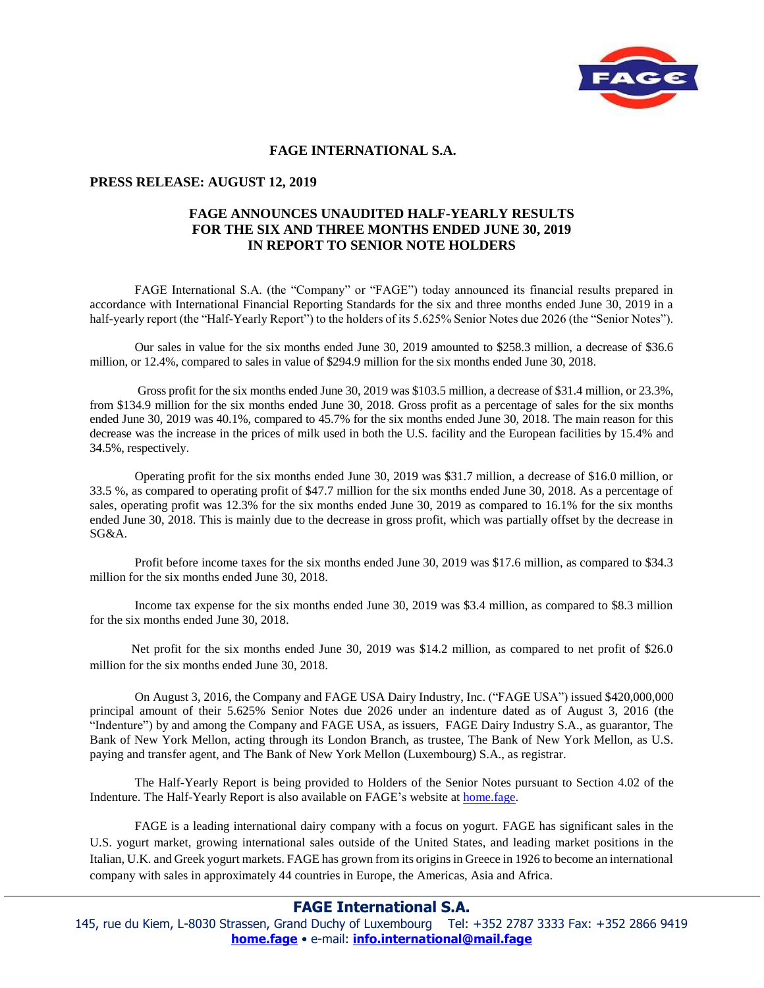

## **FAGE INTERNATIONAL S.A.**

## **PRESS RELEASE: AUGUST 12, 2019**

## **FAGE ANNOUNCES UNAUDITED HALF-YEARLY RESULTS FOR THE SIX AND THREE MONTHS ENDED JUNE 30, 2019 IN REPORT TO SENIOR NOTE HOLDERS**

FAGE International S.A. (the "Company" or "FAGE") today announced its financial results prepared in accordance with International Financial Reporting Standards for the six and three months ended June 30, 2019 in a half-yearly report (the "Half-Yearly Report") to the holders of its 5.625% Senior Notes due 2026 (the "Senior Notes").

Our sales in value for the six months ended June 30, 2019 amounted to \$258.3 million, a decrease of \$36.6 million, or 12.4%, compared to sales in value of \$294.9 million for the six months ended June 30, 2018.

 Gross profit for the six months ended June 30, 2019 was \$103.5 million, a decrease of \$31.4 million, or 23.3%, from \$134.9 million for the six months ended June 30, 2018. Gross profit as a percentage of sales for the six months ended June 30, 2019 was 40.1%, compared to 45.7% for the six months ended June 30, 2018. The main reason for this decrease was the increase in the prices of milk used in both the U.S. facility and the European facilities by 15.4% and 34.5%, respectively.

Operating profit for the six months ended June 30, 2019 was \$31.7 million, a decrease of \$16.0 million, or 33.5 %, as compared to operating profit of \$47.7 million for the six months ended June 30, 2018. As a percentage of sales, operating profit was 12.3% for the six months ended June 30, 2019 as compared to 16.1% for the six months ended June 30, 2018. This is mainly due to the decrease in gross profit, which was partially offset by the decrease in SG&A.

 Profit before income taxes for the six months ended June 30, 2019 was \$17.6 million, as compared to \$34.3 million for the six months ended June 30, 2018.

Income tax expense for the six months ended June 30, 2019 was \$3.4 million, as compared to \$8.3 million for the six months ended June 30, 2018.

 Net profit for the six months ended June 30, 2019 was \$14.2 million, as compared to net profit of \$26.0 million for the six months ended June 30, 2018.

On August 3, 2016, the Company and FAGE USA Dairy Industry, Inc. ("FAGE USA") issued \$420,000,000 principal amount of their 5.625% Senior Notes due 2026 under an indenture dated as of August 3, 2016 (the "Indenture") by and among the Company and FAGE USA, as issuers, FAGE Dairy Industry S.A., as guarantor, The Bank of New York Mellon, acting through its London Branch, as trustee, The Bank of New York Mellon, as U.S. paying and transfer agent, and The Bank of New York Mellon (Luxembourg) S.A., as registrar.

The Half-Yearly Report is being provided to Holders of the Senior Notes pursuant to Section 4.02 of the Indenture. The Half-Yearly Report is also available on FAGE's website at home.fage.

FAGE is a leading international dairy company with a focus on yogurt. FAGE has significant sales in the U.S. yogurt market, growing international sales outside of the United States, and leading market positions in the Italian, U.K. and Greek yogurt markets. FAGE has grown from its origins in Greece in 1926 to become an international company with sales in approximately 44 countries in Europe, the Americas, Asia and Africa.

## **FAGE International S.A.**

145, rue du Kiem, L-8030 Strassen, Grand Duchy of Luxembourg Tel: +352 2787 3333 Fax: +352 2866 9419 **[home.fage](http://home.fage/)** • e-mail: **[info.international@mail.fage](mailto:info.international@mail.fage)**